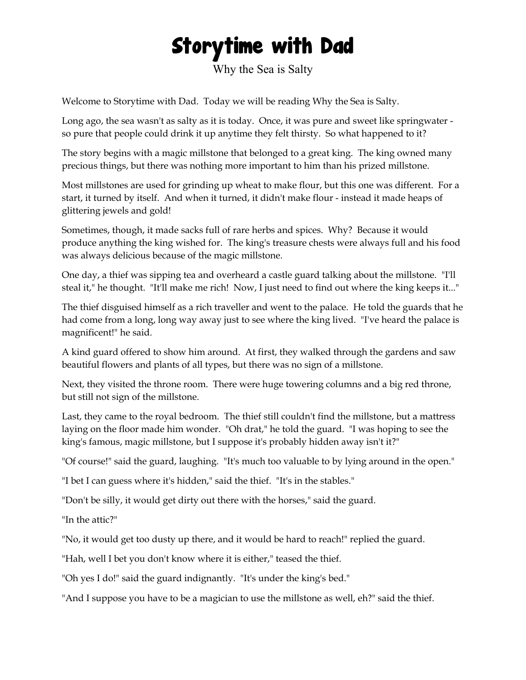## Storytime with Dad

Why the Sea is Salty

Welcome to Storytime with Dad. Today we will be reading Why the Sea is Salty.

Long ago, the sea wasn't as salty as it is today. Once, it was pure and sweet like springwater so pure that people could drink it up anytime they felt thirsty. So what happened to it?

The story begins with a magic millstone that belonged to a great king. The king owned many precious things, but there was nothing more important to him than his prized millstone.

Most millstones are used for grinding up wheat to make flour, but this one was different. For a start, it turned by itself. And when it turned, it didn't make flour - instead it made heaps of glittering jewels and gold!

Sometimes, though, it made sacks full of rare herbs and spices. Why? Because it would produce anything the king wished for. The king's treasure chests were always full and his food was always delicious because of the magic millstone.

One day, a thief was sipping tea and overheard a castle guard talking about the millstone. "I'll steal it," he thought. "It'll make me rich! Now, I just need to find out where the king keeps it..."

The thief disguised himself as a rich traveller and went to the palace. He told the guards that he had come from a long, long way away just to see where the king lived. "I've heard the palace is magnificent!" he said.

A kind guard offered to show him around. At first, they walked through the gardens and saw beautiful flowers and plants of all types, but there was no sign of a millstone.

Next, they visited the throne room. There were huge towering columns and a big red throne, but still not sign of the millstone.

Last, they came to the royal bedroom. The thief still couldn't find the millstone, but a mattress laying on the floor made him wonder. "Oh drat," he told the guard. "I was hoping to see the king's famous, magic millstone, but I suppose it's probably hidden away isn't it?"

"Of course!" said the guard, laughing. "It's much too valuable to by lying around in the open."

"I bet I can guess where it's hidden," said the thief. "It's in the stables."

"Don't be silly, it would get dirty out there with the horses," said the guard.

"In the attic?"

"No, it would get too dusty up there, and it would be hard to reach!" replied the guard.

"Hah, well I bet you don't know where it is either," teased the thief.

"Oh yes I do!" said the guard indignantly. "It's under the king's bed."

"And I suppose you have to be a magician to use the millstone as well, eh?" said the thief.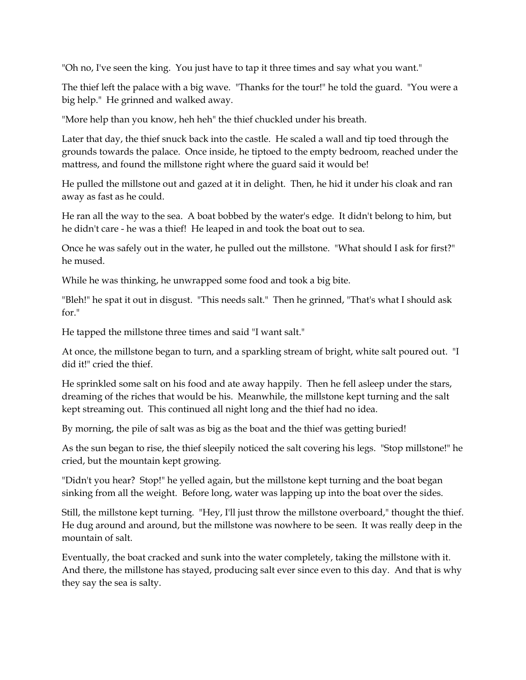"Oh no, I've seen the king. You just have to tap it three times and say what you want."

The thief left the palace with a big wave. "Thanks for the tour!" he told the guard. "You were a big help." He grinned and walked away.

"More help than you know, heh heh" the thief chuckled under his breath.

Later that day, the thief snuck back into the castle. He scaled a wall and tip toed through the grounds towards the palace. Once inside, he tiptoed to the empty bedroom, reached under the mattress, and found the millstone right where the guard said it would be!

He pulled the millstone out and gazed at it in delight. Then, he hid it under his cloak and ran away as fast as he could.

He ran all the way to the sea. A boat bobbed by the water's edge. It didn't belong to him, but he didn't care - he was a thief! He leaped in and took the boat out to sea.

Once he was safely out in the water, he pulled out the millstone. "What should I ask for first?" he mused.

While he was thinking, he unwrapped some food and took a big bite.

"Bleh!" he spat it out in disgust. "This needs salt." Then he grinned, "That's what I should ask for."

He tapped the millstone three times and said "I want salt."

At once, the millstone began to turn, and a sparkling stream of bright, white salt poured out. "I did it!" cried the thief.

He sprinkled some salt on his food and ate away happily. Then he fell asleep under the stars, dreaming of the riches that would be his. Meanwhile, the millstone kept turning and the salt kept streaming out. This continued all night long and the thief had no idea.

By morning, the pile of salt was as big as the boat and the thief was getting buried!

As the sun began to rise, the thief sleepily noticed the salt covering his legs. "Stop millstone!" he cried, but the mountain kept growing.

"Didn't you hear? Stop!" he yelled again, but the millstone kept turning and the boat began sinking from all the weight. Before long, water was lapping up into the boat over the sides.

Still, the millstone kept turning. "Hey, I'll just throw the millstone overboard," thought the thief. He dug around and around, but the millstone was nowhere to be seen. It was really deep in the mountain of salt.

Eventually, the boat cracked and sunk into the water completely, taking the millstone with it. And there, the millstone has stayed, producing salt ever since even to this day. And that is why they say the sea is salty.